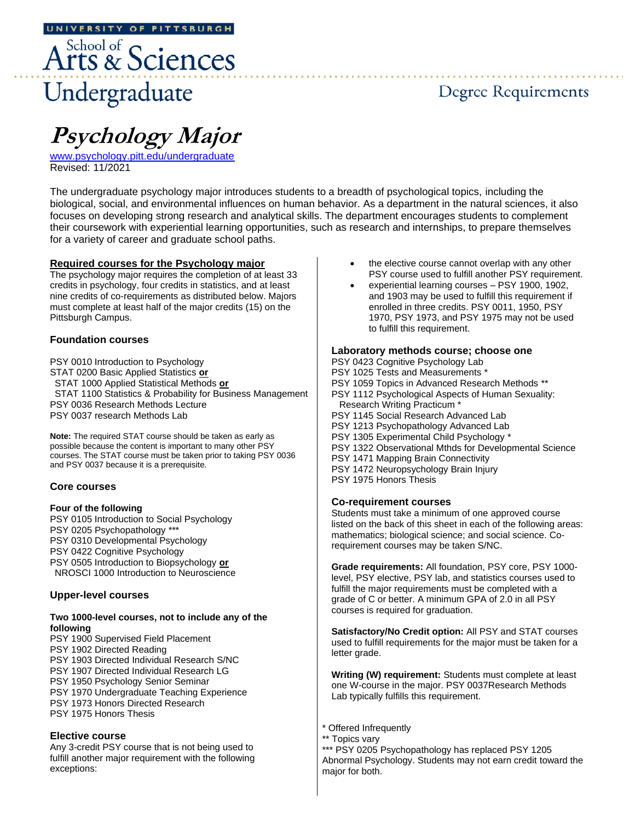# Arts & Sciences Undergraduate

## Degree Requirements

. . . . . . . . . . . . . . .

# **Psychology Major**

[www.psychology.pitt.edu/undergraduate](http://www.psychology.pitt.edu/undergraduate) Revised: 11/2021

The undergraduate psychology major introduces students to a breadth of psychological topics, including the biological, social, and environmental influences on human behavior. As a department in the natural sciences, it also focuses on developing strong research and analytical skills. The department encourages students to complement their coursework with experiential learning opportunities, such as research and internships, to prepare themselves for a variety of career and graduate school paths.

#### **Required courses for the Psychology major**

The psychology major requires the completion of at least 33 credits in psychology, four credits in statistics, and at least nine credits of co-requirements as distributed below. Majors must complete at least half of the major credits (15) on the Pittsburgh Campus.

#### **Foundation courses**

PSY 0010 Introduction to Psychology STAT 0200 Basic Applied Statistics **or** STAT 1000 Applied Statistical Methods **or** STAT 1100 Statistics & Probability for Business Management PSY 0036 Research Methods Lecture PSY 0037 research Methods Lab

**Note:** The required STAT course should be taken as early as possible because the content is important to many other PSY courses. The STAT course must be taken prior to taking PSY 0036 and PSY 0037 because it is a prerequisite.

#### **Core courses**

#### **Four of the following**

PSY 0105 Introduction to Social Psychology PSY 0205 Psychopathology \*\*\* PSY 0310 Developmental Psychology PSY 0422 Cognitive Psychology PSY 0505 Introduction to Biopsychology **or** NROSCI 1000 Introduction to Neuroscience

#### **Upper-level courses**

#### **Two 1000-level courses, not to include any of the following**

PSY 1900 Supervised Field Placement PSY 1902 Directed Reading PSY 1903 Directed Individual Research S/NC PSY 1907 Directed Individual Research LG PSY 1950 Psychology Senior Seminar PSY 1970 Undergraduate Teaching Experience PSY 1973 Honors Directed Research PSY 1975 Honors Thesis **Elective course**

Any 3-credit PSY course that is not being used to fulfill another major requirement with the following exceptions:

- the elective course cannot overlap with any other PSY course used to fulfill another PSY requirement.
- experiential learning courses PSY 1900, 1902, and 1903 may be used to fulfill this requirement if enrolled in three credits. PSY 0011, 1950, PSY 1970, PSY 1973, and PSY 1975 may not be used to fulfill this requirement.

#### **Laboratory methods course; choose one**

PSY 0423 Cognitive Psychology Lab PSY 1025 Tests and Measurements \* PSY 1059 Topics in Advanced Research Methods \*\* PSY 1112 Psychological Aspects of Human Sexuality: Research Writing Practicum \* PSY 1145 Social Research Advanced Lab PSY 1213 Psychopathology Advanced Lab PSY 1305 Experimental Child Psychology PSY 1322 Observational Mthds for Developmental Science PSY 1471 Mapping Brain Connectivity PSY 1472 Neuropsychology Brain Injury PSY 1975 Honors Thesis

#### **Co-requirement courses**

Students must take a minimum of one approved course listed on the back of this sheet in each of the following areas: mathematics; biological science; and social science. Corequirement courses may be taken S/NC.

**Grade requirements:** All foundation, PSY core, PSY 1000 level, PSY elective, PSY lab, and statistics courses used to fulfill the major requirements must be completed with a grade of C or better. A minimum GPA of 2.0 in all PSY courses is required for graduation.

**Satisfactory/No Credit option:** All PSY and STAT courses used to fulfill requirements for the major must be taken for a letter grade.

**Writing (W) requirement:** Students must complete at least one W-course in the major. PSY 0037Research Methods Lab typically fulfills this requirement.

- \* Offered Infrequently
- <sup>'</sup> Topics vary

\*\*\* PSY 0205 Psychopathology has replaced PSY 1205 Abnormal Psychology. Students may not earn credit toward the major for both.